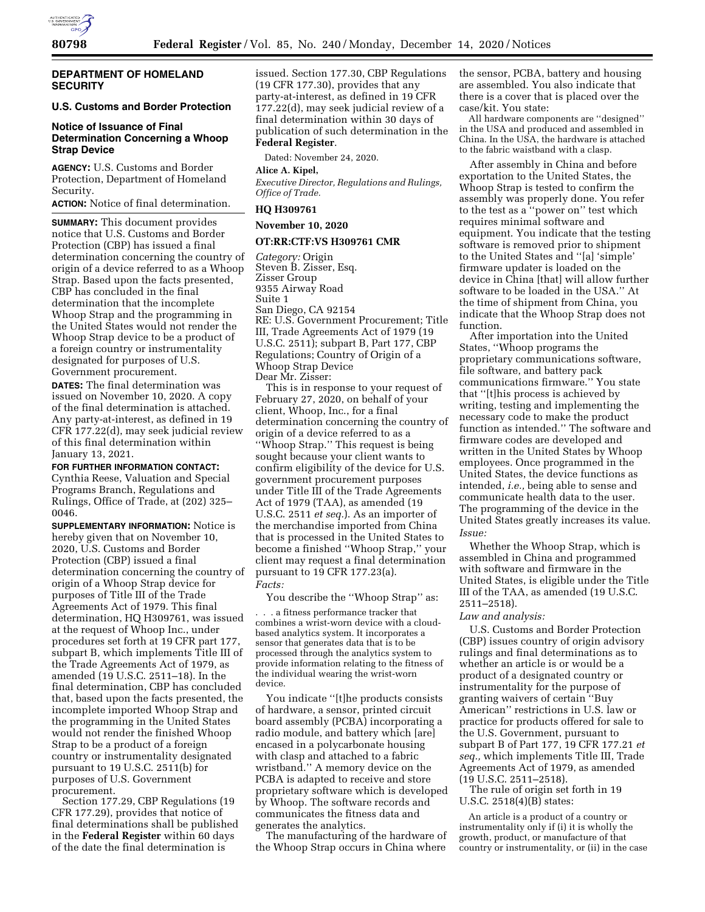

#### **DEPARTMENT OF HOMELAND SECURITY**

# **U.S. Customs and Border Protection**

# **Notice of Issuance of Final Determination Concerning a Whoop Strap Device**

**AGENCY:** U.S. Customs and Border Protection, Department of Homeland Security.

**ACTION:** Notice of final determination.

**SUMMARY:** This document provides notice that U.S. Customs and Border Protection (CBP) has issued a final determination concerning the country of origin of a device referred to as a Whoop Strap. Based upon the facts presented, CBP has concluded in the final determination that the incomplete Whoop Strap and the programming in the United States would not render the Whoop Strap device to be a product of a foreign country or instrumentality designated for purposes of U.S. Government procurement.

**DATES:** The final determination was issued on November 10, 2020. A copy of the final determination is attached. Any party-at-interest, as defined in 19 CFR 177.22(d), may seek judicial review of this final determination within January 13, 2021.

**FOR FURTHER INFORMATION CONTACT:**  Cynthia Reese, Valuation and Special Programs Branch, Regulations and Rulings, Office of Trade, at (202) 325– 0046.

**SUPPLEMENTARY INFORMATION:** Notice is hereby given that on November 10, 2020, U.S. Customs and Border Protection (CBP) issued a final determination concerning the country of origin of a Whoop Strap device for purposes of Title III of the Trade Agreements Act of 1979. This final determination, HQ H309761, was issued at the request of Whoop Inc., under procedures set forth at 19 CFR part 177, subpart B, which implements Title III of the Trade Agreements Act of 1979, as amended (19 U.S.C. 2511–18). In the final determination, CBP has concluded that, based upon the facts presented, the incomplete imported Whoop Strap and the programming in the United States would not render the finished Whoop Strap to be a product of a foreign country or instrumentality designated pursuant to 19 U.S.C. 2511(b) for purposes of U.S. Government procurement.

Section 177.29, CBP Regulations (19 CFR 177.29), provides that notice of final determinations shall be published in the **Federal Register** within 60 days of the date the final determination is

issued. Section 177.30, CBP Regulations (19 CFR 177.30), provides that any party-at-interest, as defined in 19 CFR 177.22(d), may seek judicial review of a final determination within 30 days of publication of such determination in the **Federal Register**.

Dated: November 24, 2020.

#### **Alice A. Kipel,**

*Executive Director, Regulations and Rulings, Office of Trade.* 

# **HQ H309761**

### **November 10, 2020**

#### **OT:RR:CTF:VS H309761 CMR**

*Category:* Origin Steven B. Zisser, Esq. Zisser Group 9355 Airway Road Suite 1 San Diego, CA 92154 RE: U.S. Government Procurement; Title III, Trade Agreements Act of 1979 (19 U.S.C. 2511); subpart B, Part 177, CBP Regulations; Country of Origin of a Whoop Strap Device Dear Mr. Zisser:

This is in response to your request of February 27, 2020, on behalf of your client, Whoop, Inc., for a final determination concerning the country of origin of a device referred to as a ''Whoop Strap.'' This request is being sought because your client wants to confirm eligibility of the device for U.S. government procurement purposes under Title III of the Trade Agreements Act of 1979 (TAA), as amended (19 U.S.C. 2511 *et seq.*). As an importer of the merchandise imported from China that is processed in the United States to become a finished ''Whoop Strap,'' your client may request a final determination pursuant to 19 CFR 177.23(a). *Facts:* 

You describe the "Whoop Strap" as:

. . . a fitness performance tracker that combines a wrist-worn device with a cloudbased analytics system. It incorporates a sensor that generates data that is to be processed through the analytics system to provide information relating to the fitness of the individual wearing the wrist-worn device.

You indicate ''[t]he products consists of hardware, a sensor, printed circuit board assembly (PCBA) incorporating a radio module, and battery which [are] encased in a polycarbonate housing with clasp and attached to a fabric wristband.'' A memory device on the PCBA is adapted to receive and store proprietary software which is developed by Whoop. The software records and communicates the fitness data and generates the analytics.

The manufacturing of the hardware of the Whoop Strap occurs in China where

the sensor, PCBA, battery and housing are assembled. You also indicate that there is a cover that is placed over the case/kit. You state:

All hardware components are ''designed'' in the USA and produced and assembled in China. In the USA, the hardware is attached to the fabric waistband with a clasp.

After assembly in China and before exportation to the United States, the Whoop Strap is tested to confirm the assembly was properly done. You refer to the test as a ''power on'' test which requires minimal software and equipment. You indicate that the testing software is removed prior to shipment to the United States and ''[a] 'simple' firmware updater is loaded on the device in China [that] will allow further software to be loaded in the USA.'' At the time of shipment from China, you indicate that the Whoop Strap does not function.

After importation into the United States, ''Whoop programs the proprietary communications software, file software, and battery pack communications firmware.'' You state that ''[t]his process is achieved by writing, testing and implementing the necessary code to make the product function as intended.'' The software and firmware codes are developed and written in the United States by Whoop employees. Once programmed in the United States, the device functions as intended, *i.e.,* being able to sense and communicate health data to the user. The programming of the device in the United States greatly increases its value. *Issue:* 

Whether the Whoop Strap, which is assembled in China and programmed with software and firmware in the United States, is eligible under the Title III of the TAA, as amended (19 U.S.C. 2511–2518).

#### *Law and analysis:*

U.S. Customs and Border Protection (CBP) issues country of origin advisory rulings and final determinations as to whether an article is or would be a product of a designated country or instrumentality for the purpose of granting waivers of certain ''Buy American'' restrictions in U.S. law or practice for products offered for sale to the U.S. Government, pursuant to subpart B of Part 177, 19 CFR 177.21 *et seq.,* which implements Title III, Trade Agreements Act of 1979, as amended (19 U.S.C. 2511–2518).

The rule of origin set forth in 19 U.S.C. 2518(4)(B) states:

An article is a product of a country or instrumentality only if (i) it is wholly the growth, product, or manufacture of that country or instrumentality, or (ii) in the case